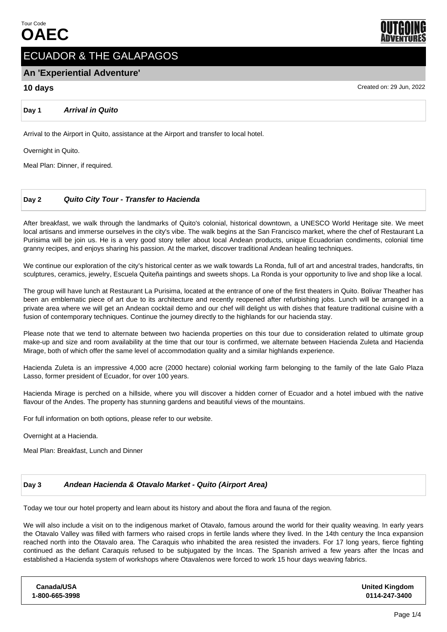

# ECUADOR & THE GALAPAGOS

# **An 'Experiential Adventure'**

# **10 days** Created on: 29 Jun, 2022

**Day 1 Arrival in Quito**

Arrival to the Airport in Quito, assistance at the Airport and transfer to local hotel.

Overnight in Quito.

Meal Plan: Dinner, if required.

# **Day 2 Quito City Tour - Transfer to Hacienda**

After breakfast, we walk through the landmarks of Quito's colonial, historical downtown, a UNESCO World Heritage site. We meet local artisans and immerse ourselves in the city's vibe. The walk begins at the San Francisco market, where the chef of Restaurant La Purisima will be join us. He is a very good story teller about local Andean products, unique Ecuadorian condiments, colonial time granny recipes, and enjoys sharing his passion. At the market, discover traditional Andean healing techniques.

We continue our exploration of the city's historical center as we walk towards La Ronda, full of art and ancestral trades, handcrafts, tin sculptures, ceramics, jewelry, Escuela Quiteña paintings and sweets shops. La Ronda is your opportunity to live and shop like a local.

The group will have lunch at Restaurant La Purisima, located at the entrance of one of the first theaters in Quito. Bolivar Theather has been an emblematic piece of art due to its architecture and recently reopened after refurbishing jobs. Lunch will be arranged in a private area where we will get an Andean cocktail demo and our chef will delight us with dishes that feature traditional cuisine with a fusion of contemporary techniques. Continue the journey directly to the highlands for our hacienda stay.

Please note that we tend to alternate between two hacienda properties on this tour due to consideration related to ultimate group make-up and size and room availability at the time that our tour is confirmed, we alternate between Hacienda Zuleta and Hacienda Mirage, both of which offer the same level of accommodation quality and a similar highlands experience.

Hacienda Zuleta is an impressive 4,000 acre (2000 hectare) colonial working farm belonging to the family of the late Galo Plaza Lasso, former president of Ecuador, for over 100 years.

Hacienda Mirage is perched on a hillside, where you will discover a hidden corner of Ecuador and a hotel imbued with the native flavour of the Andes. The property has stunning gardens and beautiful views of the mountains.

For full information on both options, please refer to our website.

Overnight at a Hacienda.

Meal Plan: Breakfast, Lunch and Dinner

## **Day 3 Andean Hacienda & Otavalo Market - Quito (Airport Area)**

Today we tour our hotel property and learn about its history and about the flora and fauna of the region.

We will also include a visit on to the indigenous market of Otavalo, famous around the world for their quality weaving. In early years the Otavalo Valley was filled with farmers who raised crops in fertile lands where they lived. In the 14th century the Inca expansion reached north into the Otavalo area. The Caraquis who inhabited the area resisted the invaders. For 17 long years, fierce fighting continued as the defiant Caraquis refused to be subjugated by the Incas. The Spanish arrived a few years after the Incas and established a Hacienda system of workshops where Otavalenos were forced to work 15 hour days weaving fabrics.

| Canada/USA     |  |
|----------------|--|
| 1-800-665-3998 |  |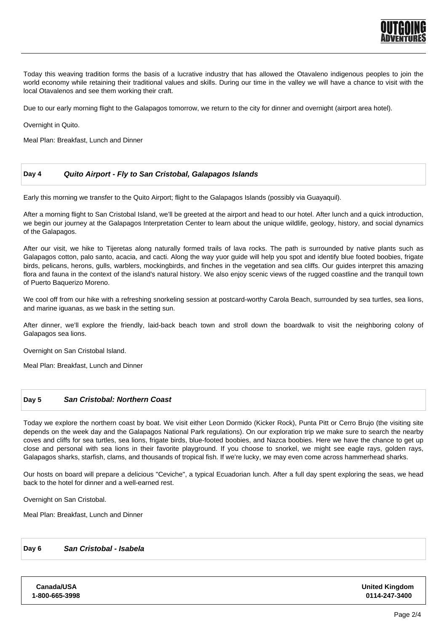

Today this weaving tradition forms the basis of a lucrative industry that has allowed the Otavaleno indigenous peoples to join the world economy while retaining their traditional values and skills. During our time in the valley we will have a chance to visit with the local Otavalenos and see them working their craft.

Due to our early morning flight to the Galapagos tomorrow, we return to the city for dinner and overnight (airport area hotel).

Overnight in Quito.

Meal Plan: Breakfast, Lunch and Dinner

# **Day 4 Quito Airport - Fly to San Cristobal, Galapagos Islands**

Early this morning we transfer to the Quito Airport; flight to the Galapagos Islands (possibly via Guayaquil).

After a morning flight to San Cristobal Island, we'll be greeted at the airport and head to our hotel. After lunch and a quick introduction, we begin our journey at the Galapagos Interpretation Center to learn about the unique wildlife, geology, history, and social dynamics of the Galapagos.

After our visit, we hike to Tijeretas along naturally formed trails of lava rocks. The path is surrounded by native plants such as Galapagos cotton, palo santo, acacia, and cacti. Along the way yuor guide will help you spot and identify blue footed boobies, frigate birds, pelicans, herons, gulls, warblers, mockingbirds, and finches in the vegetation and sea cliffs. Our guides interpret this amazing flora and fauna in the context of the island's natural history. We also enjoy scenic views of the rugged coastline and the tranquil town of Puerto Baquerizo Moreno.

We cool off from our hike with a refreshing snorkeling session at postcard-worthy Carola Beach, surrounded by sea turtles, sea lions, and marine iguanas, as we bask in the setting sun.

After dinner, we'll explore the friendly, laid-back beach town and stroll down the boardwalk to visit the neighboring colony of Galapagos sea lions.

Overnight on San Cristobal Island.

Meal Plan: Breakfast, Lunch and Dinner

## **Day 5 San Cristobal: Northern Coast**

Today we explore the northern coast by boat. We visit either Leon Dormido (Kicker Rock), Punta Pitt or Cerro Brujo (the visiting site depends on the week day and the Galapagos National Park regulations). On our exploration trip we make sure to search the nearby coves and cliffs for sea turtles, sea lions, frigate birds, blue-footed boobies, and Nazca boobies. Here we have the chance to get up close and personal with sea lions in their favorite playground. If you choose to snorkel, we might see eagle rays, golden rays, Galapagos sharks, starfish, clams, and thousands of tropical fish. If we're lucky, we may even come across hammerhead sharks.

Our hosts on board will prepare a delicious "Ceviche", a typical Ecuadorian lunch. After a full day spent exploring the seas, we head back to the hotel for dinner and a well-earned rest.

Overnight on San Cristobal.

Meal Plan: Breakfast, Lunch and Dinner

#### **Day 6 San Cristobal - Isabela**

**Canada/USA 1-800-665-3998** **United Kingdom 0114-247-3400**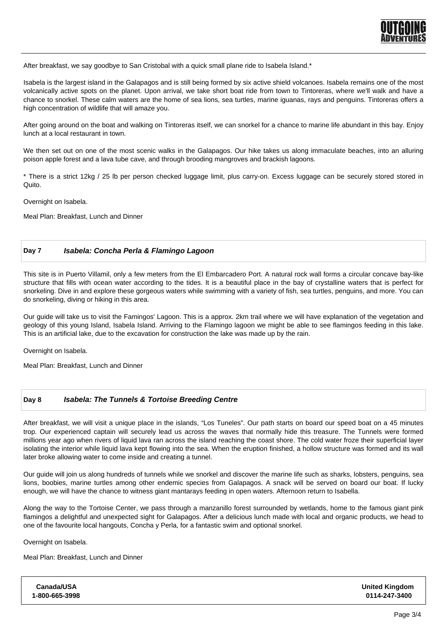

After breakfast, we say goodbye to San Cristobal with a quick small plane ride to Isabela Island.\*

Isabela is the largest island in the Galapagos and is still being formed by six active shield volcanoes. Isabela remains one of the most volcanically active spots on the planet. Upon arrival, we take short boat ride from town to Tintoreras, where we'll walk and have a chance to snorkel. These calm waters are the home of sea lions, sea turtles, marine iguanas, rays and penguins. Tintoreras offers a high concentration of wildlife that will amaze you.

After going around on the boat and walking on Tintoreras itself, we can snorkel for a chance to marine life abundant in this bay. Enjoy lunch at a local restaurant in town.

We then set out on one of the most scenic walks in the Galapagos. Our hike takes us along immaculate beaches, into an alluring poison apple forest and a lava tube cave, and through brooding mangroves and brackish lagoons.

\* There is a strict 12kg / 25 lb per person checked luggage limit, plus carry-on. Excess luggage can be securely stored stored in Quito.

Overnight on Isabela.

Meal Plan: Breakfast, Lunch and Dinner

### **Day 7 Isabela: Concha Perla & Flamingo Lagoon**

This site is in Puerto Villamil, only a few meters from the El Embarcadero Port. A natural rock wall forms a circular concave bay-like structure that fills with ocean water according to the tides. It is a beautiful place in the bay of crystalline waters that is perfect for snorkeling. Dive in and explore these gorgeous waters while swimming with a variety of fish, sea turtles, penguins, and more. You can do snorkeling, diving or hiking in this area.

Our guide will take us to visit the Famingos' Lagoon. This is a approx. 2km trail where we will have explanation of the vegetation and geology of this young Island, Isabela Island. Arriving to the Flamingo lagoon we might be able to see flamingos feeding in this lake. This is an artificial lake, due to the excavation for construction the lake was made up by the rain.

Overnight on Isabela.

Meal Plan: Breakfast, Lunch and Dinner

#### **Day 8 Isabela: The Tunnels & Tortoise Breeding Centre**

After breakfast, we will visit a unique place in the islands, "Los Tuneles". Our path starts on board our speed boat on a 45 minutes trop. Our experienced captain will securely lead us across the waves that normally hide this treasure. The Tunnels were formed millions year ago when rivers of liquid lava ran across the island reaching the coast shore. The cold water froze their superficial layer isolating the interior while liquid lava kept flowing into the sea. When the eruption finished, a hollow structure was formed and its wall later broke allowing water to come inside and creating a tunnel.

Our guide will join us along hundreds of tunnels while we snorkel and discover the marine life such as sharks, lobsters, penguins, sea lions, boobies, marine turtles among other endemic species from Galapagos. A snack will be served on board our boat. If lucky enough, we will have the chance to witness giant mantarays feeding in open waters. Afternoon return to Isabella.

Along the way to the Tortoise Center, we pass through a manzanillo forest surrounded by wetlands, home to the famous giant pink flamingos a delightful and unexpected sight for Galapagos. After a delicious lunch made with local and organic products, we head to one of the favourite local hangouts, Concha y Perla, for a fantastic swim and optional snorkel.

Overnight on Isabela.

Meal Plan: Breakfast, Lunch and Dinner

| <b>United Kingdom</b><br>0114-247-3400 |
|----------------------------------------|
|                                        |